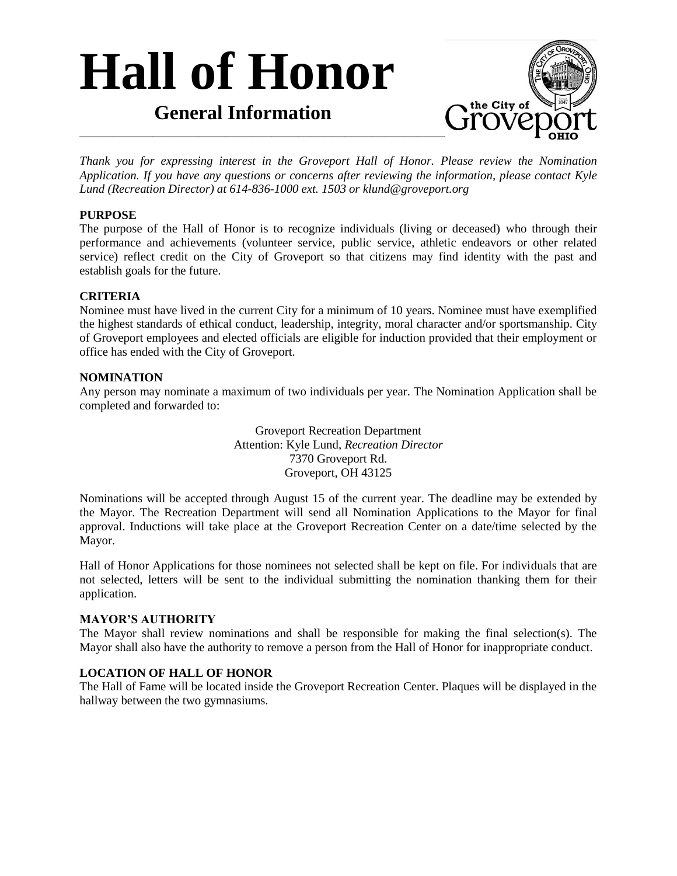# **Hall of Honor**

### **General Information**



*Thank you for expressing interest in the Groveport Hall of Honor. Please review the Nomination Application. If you have any questions or concerns after reviewing the information, please contact Kyle Lund (Recreation Director) at 614-836-1000 ext. 1503 or klund@groveport.org*

#### **PURPOSE**

The purpose of the Hall of Honor is to recognize individuals (living or deceased) who through their performance and achievements (volunteer service, public service, athletic endeavors or other related service) reflect credit on the City of Groveport so that citizens may find identity with the past and establish goals for the future.

#### **CRITERIA**

Nominee must have lived in the current City for a minimum of 10 years. Nominee must have exemplified the highest standards of ethical conduct, leadership, integrity, moral character and/or sportsmanship. City of Groveport employees and elected officials are eligible for induction provided that their employment or office has ended with the City of Groveport.

#### **NOMINATION**

Any person may nominate a maximum of two individuals per year. The Nomination Application shall be completed and forwarded to:

> Groveport Recreation Department Attention: Kyle Lund, *Recreation Director* 7370 Groveport Rd. Groveport, OH 43125

Nominations will be accepted through August 15 of the current year. The deadline may be extended by the Mayor. The Recreation Department will send all Nomination Applications to the Mayor for final approval. Inductions will take place at the Groveport Recreation Center on a date/time selected by the Mayor.

Hall of Honor Applications for those nominees not selected shall be kept on file. For individuals that are not selected, letters will be sent to the individual submitting the nomination thanking them for their application.

#### **MAYOR'S AUTHORITY**

The Mayor shall review nominations and shall be responsible for making the final selection(s). The Mayor shall also have the authority to remove a person from the Hall of Honor for inappropriate conduct.

#### **LOCATION OF HALL OF HONOR**

The Hall of Fame will be located inside the Groveport Recreation Center. Plaques will be displayed in the hallway between the two gymnasiums.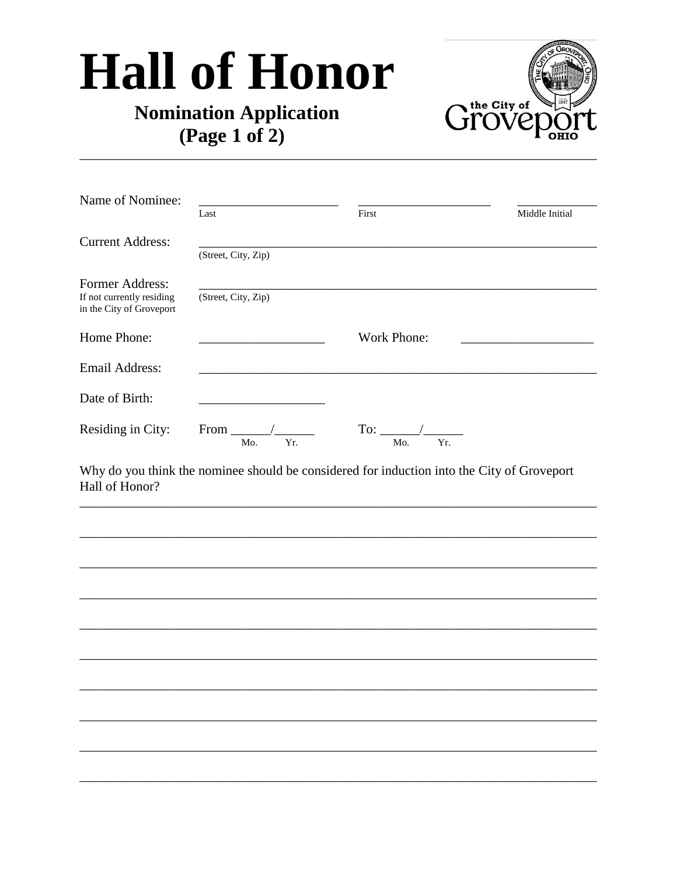## **Hall of Honor**

## **Nomination Application** (Page 1 of 2)



| Name of Nominee:                                      |                                             |                    |                |
|-------------------------------------------------------|---------------------------------------------|--------------------|----------------|
|                                                       | Last                                        | First              | Middle Initial |
| <b>Current Address:</b>                               |                                             |                    |                |
|                                                       | (Street, City, Zip)                         |                    |                |
| <b>Former Address:</b>                                |                                             |                    |                |
| If not currently residing<br>in the City of Groveport | (Street, City, Zip)                         |                    |                |
| Home Phone:                                           |                                             | <b>Work Phone:</b> |                |
| Email Address:                                        |                                             |                    |                |
| Date of Birth:                                        |                                             |                    |                |
| Residing in City:                                     | From $\overline{\phantom{a}}$<br>Yr.<br>Mo. | Yr.<br>Mo.         |                |

Why do you think the nominee should be considered for induction into the City of Groveport Hall of Honor?